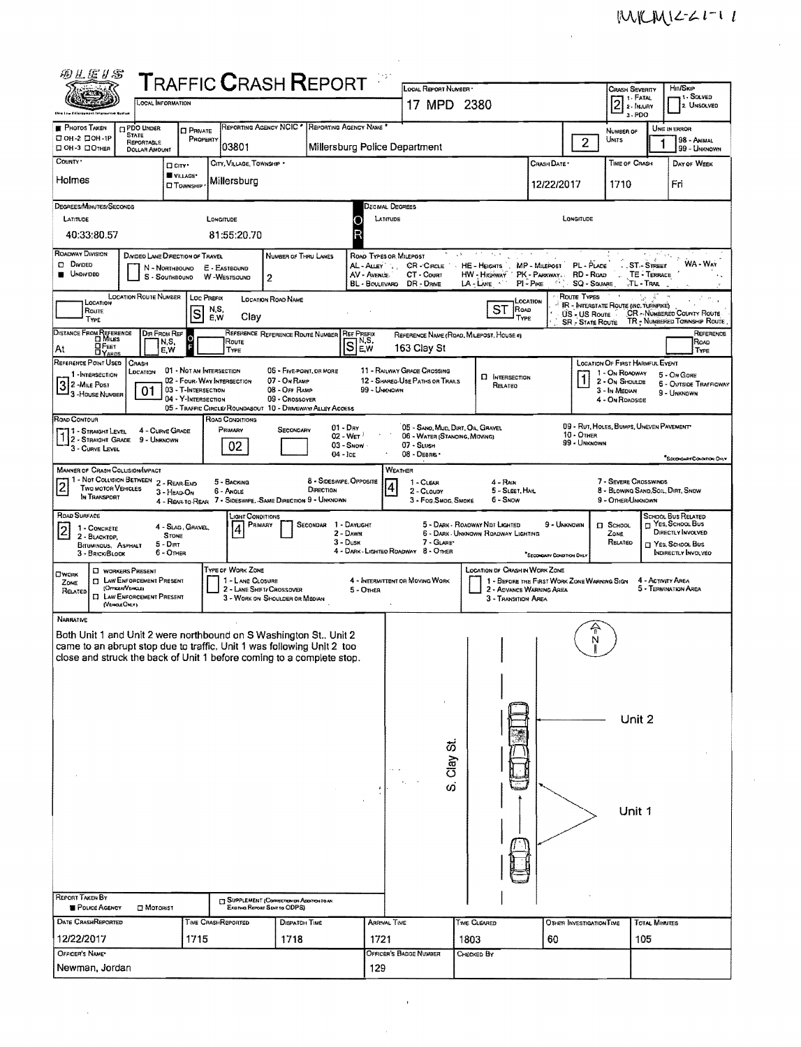| 砂儿店り名                                                                                                                                          |                                                              |                                                   |                                  | <b>TRAFFIC CRASH REPORT</b>                                                   |                                          |                         |                                                                    |             |                                                                               |                            |                                   |                                                             |                          |                                                                     |
|------------------------------------------------------------------------------------------------------------------------------------------------|--------------------------------------------------------------|---------------------------------------------------|----------------------------------|-------------------------------------------------------------------------------|------------------------------------------|-------------------------|--------------------------------------------------------------------|-------------|-------------------------------------------------------------------------------|----------------------------|-----------------------------------|-------------------------------------------------------------|--------------------------|---------------------------------------------------------------------|
|                                                                                                                                                | <b>OCAL INFORMATION</b>                                      |                                                   |                                  |                                                                               |                                          |                         | <b>LOCAL REPORT NUMBER</b>                                         |             |                                                                               |                            |                                   | <b>CRASH SEVERITY</b><br>1 - FATAL                          |                          | Hir/Skip<br>1 - SOLVED                                              |
|                                                                                                                                                |                                                              |                                                   |                                  |                                                                               |                                          |                         | 17 MPD 2380                                                        |             |                                                                               |                            |                                   | $2$ 2 - MUURY<br>$3 - PDO$                                  |                          | 2 Unsolved                                                          |
| <b>PHOTOS TAKEN</b><br>□ ОН-2 □ ОН-1Р                                                                                                          | <b>DPDO UNDER</b><br><b>STATE</b>                            | <b>D</b> PRIVATE<br>PROPERTY                      |                                  | REPORTING AGENCY NOIC * REPORTING AGENCY NAME                                 |                                          |                         |                                                                    |             |                                                                               |                            |                                   | NUMBER OF<br>UNITS                                          |                          | UNIT IN ERROR<br>98 - ANIMAL                                        |
| <b>ロ OH-3 ロ OTHER</b>                                                                                                                          | REPORTABLE<br>DOLLAR AMOUNT                                  |                                                   | 03801                            |                                                                               |                                          |                         | Millersburg Police Department                                      |             |                                                                               |                            | $\overline{2}$                    |                                                             |                          | 99 - UNKNOWN                                                        |
| COUNTY *                                                                                                                                       | <b>D</b> CITY                                                | VILLAGE*                                          | CITY, VILLAGE, TOWNSHIP          |                                                                               |                                          |                         |                                                                    |             |                                                                               | Crash Date *               |                                   | TIME OF CRASH                                               |                          | DAY OF WEEK                                                         |
| Holmes                                                                                                                                         |                                                              | <b>CI TOWNSHIP</b>                                | Millersburg                      |                                                                               |                                          |                         |                                                                    |             |                                                                               | 12/22/2017                 |                                   | 1710                                                        |                          | Fri                                                                 |
| DEGREES/MINUTES/SECONDS                                                                                                                        |                                                              |                                                   |                                  |                                                                               |                                          |                         | Jecmal Degrees                                                     |             |                                                                               |                            |                                   |                                                             |                          |                                                                     |
| LATITUDE                                                                                                                                       |                                                              | Longitude                                         |                                  |                                                                               |                                          | LATITUDE                |                                                                    |             |                                                                               |                            | LONGITUDE                         |                                                             |                          |                                                                     |
| 40:33:80.57                                                                                                                                    |                                                              |                                                   | 81:55:20.70                      |                                                                               |                                          |                         |                                                                    |             |                                                                               |                            |                                   |                                                             |                          |                                                                     |
| <b>ROADWAY DIVISION</b><br><b>D</b> Divided                                                                                                    | DIVIDEO LANE DIRECTION OF TRAVEL                             |                                                   |                                  | NUMBER OF THRU LANES                                                          |                                          | AL - Alley              | ROAD TYPES OR MILEPOST<br>CR - CIRCLE                              | A.S         | $\mathcal{N}_{\mathcal{A}}$ .<br>HE - HEIGHTS                                 | MP - Malepost              | PL - PLACE                        |                                                             | ST-STREET                | WA - Way                                                            |
| <b>UNDIVIDED</b>                                                                                                                               | N - NORTHBOUND<br>$S -$ Southsound                           |                                                   | E - EASTBOUND<br>W-WESTBOUND     | 2                                                                             |                                          | AV - AVENUE             | CT - Count                                                         |             | HW - Highway                                                                  | PK - PARKWAY,              | RD - Roap                         |                                                             | TE - TERRACE<br>TL-Trail |                                                                     |
|                                                                                                                                                | LOCATION ROUTE NUMBER                                        | LOC PREFIX                                        |                                  | LOCATION ROAD NAME                                                            |                                          | <b>BL - BOULEVARD</b>   | DR - DRIVE                                                         |             | LA - LANE                                                                     | $PI - P_{IKE}$<br>LOCATION | <b>SQ - SOUARE</b><br>ROUTE TYPES |                                                             |                          |                                                                     |
| LOCATION<br>Route                                                                                                                              |                                                              | NS.<br>S<br>E,W                                   | Clay                             |                                                                               |                                          |                         |                                                                    |             | ST<br>ROAD<br>TYPE                                                            |                            | US - US Route                     | <b>IR - INTERSTATE ROUTE (INC. TURNPIKE)</b>                |                          | CR - NUMBERED COUNTY ROUTE                                          |
| TYPE<br>DISTANCE FROM REFERENCE                                                                                                                | DIR FROM REF                                                 |                                                   |                                  | REFERENCE REFERENCE ROUTE NUMBER                                              |                                          | <b>REF PREFIX</b>       | REFERENCE NAME (ROAD, MILEPOST, HOUSE #)                           |             |                                                                               |                            | <b>SR</b> - State Route           |                                                             |                          | TR - NUMBERED TOWNSHIP ROUTE<br>REFERENCE                           |
| $Q$ FEET<br>At<br><b>DYARDS</b>                                                                                                                | N,S,<br>E.W                                                  | $\Omega$<br>F                                     | Route<br>TYPE                    |                                                                               |                                          | $\overline{\mathsf{s}}$ | 163 Clay St                                                        |             |                                                                               |                            |                                   |                                                             |                          | Roap<br><b>TYPE</b>                                                 |
| REFERENCE POINT USED                                                                                                                           | CRASH<br>LOCATION                                            | 01 • NOT AN INTERSECTION                          |                                  | 06 - FIVE POINT, OR MORE                                                      |                                          |                         | 11 - RAILWAY GRADE CROSSING                                        |             |                                                                               |                            |                                   | LOCATION OF FIRST HARMFUL EVENT                             |                          |                                                                     |
| 1-INTERSECTION<br>2 - MiLE POST                                                                                                                | 01                                                           | 02 - Four-Way Intersection<br>03 - T-Intersection |                                  | 07 - On RAMP<br>08 - Off RAMP                                                 |                                          | 99 - UNKNOWN            | 12 - SHAREQ-USE PATHS OR TRAILS                                    |             | <b>D</b> INTERSECTION<br>RELATEO                                              |                            |                                   | 1 - On ROACWAY<br>2 - On ShoutDE<br>3 - In MEDIAN           |                          | 5 - On Gore<br><b>6 - OUTSIDE TRAFFICWAY</b>                        |
| <sup>1</sup> 3 - House Number                                                                                                                  |                                                              | 04 - Y-INTERSECTION                               |                                  | 09 - Crossover<br>05 - TRAFFIC CIRCLE/ ROUNDABOUT 10 - DRIVEWAY/ ALLEY ACCESS |                                          |                         |                                                                    |             |                                                                               |                            |                                   | 4 - On ROADSIDE                                             |                          | 9 - UNKNOWN                                                         |
| ROAD CONTOUR                                                                                                                                   |                                                              |                                                   | ROAD CONDITIONS                  |                                                                               |                                          |                         |                                                                    |             |                                                                               |                            |                                   | 09 - RUT, HOLES, BUMPS, UNEVEN PAVEMENT                     |                          |                                                                     |
| 1 - Straight Level<br>112 - Straight Grade                                                                                                     | 4 - CURVE GRADE<br>9 - Unknown                               |                                                   | Primary                          | Secondary                                                                     | $01 - \text{Div}$<br>$02 - Wer$          |                         | 05 - SANO, MUD, DIRT, OIL, GRAVEL<br>06 - WATER (STANOING, MOVING) |             |                                                                               |                            | $10 -$ OTHER<br>99 - UNKNOWN      |                                                             |                          |                                                                     |
| 3 - CURVE LEVEL                                                                                                                                |                                                              |                                                   | 02                               |                                                                               | $03 -$ SNOW $\cdot$<br>$04 - \text{lcc}$ |                         | 07 - SLUSH<br>08 - DEBRIS ·                                        |             |                                                                               |                            |                                   |                                                             |                          | SECONDARY CONDITION ONLY                                            |
| <b>MANNER OF CRASH COLLISION/IMPACT</b>                                                                                                        | 1 - Not Collision Between 2 - Rear-End                       |                                                   |                                  |                                                                               |                                          |                         | <b>WEATHER</b>                                                     |             |                                                                               |                            |                                   |                                                             |                          |                                                                     |
| $\overline{c}$<br>Two motor Vehicles<br>IN TRANSPORT                                                                                           | 3 - HEAD-ON                                                  |                                                   | 5 - BACKING<br>6 - Angle         |                                                                               | 8 - Sideswire, Orrosite<br>DIRECTION     |                         | 1 - CLEAR<br>2 - CLOUDY                                            |             | $4 - R$ ain<br>5 - SLEET, HAIL                                                |                            |                                   | 7 - SEVERE CROSSWINDS<br>8 - BLOWING SAND, SOIL, DIRT, SNOW |                          |                                                                     |
| ROAD SURFACE                                                                                                                                   |                                                              | 4 - REAR-TO-REAR                                  |                                  | 7 - SIDESWIPE, SAME DIRECTION 9 - UNKNOWN                                     |                                          |                         | 3 - Fog Smog Smoke                                                 |             | 6 - Snow                                                                      |                            |                                   | 9 - OTHER/UNKNOWN                                           |                          |                                                                     |
| 1 - CONCRETE<br>$\vert$ 2                                                                                                                      |                                                              | 4 - SLAG, GRAVEL,                                 | Light Conditions<br>PRIMARY<br>4 |                                                                               | SECONDAR 1 - DAYLIGHT<br>2 - Dawn        |                         |                                                                    |             | 5 - Dark - Roadway Ndt Lighted<br>6 - DARK UNKNOWN ROADWAY LIGHTING           | 9 - Unknown                |                                   | $\Box$ SCHOOL<br>Zone                                       |                          | <b>SCHOOL BUS RELATED</b><br>H YES, SCHOOL BUS<br>DIRECTLY INVOLVED |
| 2 - BLACKTOP,<br>BITUMINOUS, ASPHALT                                                                                                           | <b>STONE</b><br>$5 - DIRT$                                   |                                                   |                                  |                                                                               | 3 - Dusk                                 |                         | 7 - GLARE*<br>4 - DARK - LIGHTEO ROADWAY 8 - OTHER                 |             |                                                                               |                            |                                   | RELATED                                                     |                          | T YES, SCHOOL BUS                                                   |
| 3 - BRICK/BLOCK                                                                                                                                | 6 - Oner                                                     |                                                   | TYPE OF WORK ZONE                |                                                                               |                                          |                         |                                                                    |             |                                                                               | *SECONDARY CONDITION DHLY  |                                   |                                                             |                          | INDIRECTLY INVOLVED                                                 |
| OWORK<br>ZONE                                                                                                                                  | <b>C WORKERS PRESENT</b><br><b>T LAW ENFORCEMENT PRESENT</b> |                                                   | 1 - LANE CLOSURE                 |                                                                               |                                          |                         | 4 - INTERMITTENT OR MOVING WORK                                    |             | LOCATION OF CRASH IN WORK ZONE<br>1 - BEFORE THE FIRST WORK ZONE WARNING SIGN |                            |                                   |                                                             | 4 - ACTIVITY AREA        |                                                                     |
| RELATED<br>(VENCLEOKY)                                                                                                                         | (OFFICER/VEHICLE)<br><b>CI LAW ENFORCEMENT PRESENT</b>       |                                                   | 2 - LANE SHIFT/ CROSSOVER        | 3 - WORK ON SHOULDER OR MEDIAN                                                |                                          | 5 - OTHER               |                                                                    |             | 2 - ADVANCE WARNING AREA<br>3 - Transition Area                               |                            |                                   |                                                             |                          | 5 - TERMINATION AREA                                                |
| <b>NARRATIVE</b>                                                                                                                               |                                                              |                                                   |                                  |                                                                               |                                          |                         |                                                                    |             |                                                                               |                            |                                   |                                                             |                          |                                                                     |
| Both Unit 1 and Unit 2 were northbound on S Washington St., Unit 2                                                                             |                                                              |                                                   |                                  |                                                                               |                                          |                         |                                                                    |             |                                                                               |                            | N                                 |                                                             |                          |                                                                     |
| came to an abrupt stop due to traffic. Unit 1 was following Unit 2 too<br>close and struck the back of Unit 1 before coming to a complete stop |                                                              |                                                   |                                  |                                                                               |                                          |                         |                                                                    |             |                                                                               |                            |                                   |                                                             |                          |                                                                     |
|                                                                                                                                                |                                                              |                                                   |                                  |                                                                               |                                          |                         |                                                                    |             |                                                                               |                            |                                   |                                                             |                          |                                                                     |
|                                                                                                                                                |                                                              |                                                   |                                  |                                                                               |                                          |                         |                                                                    |             |                                                                               |                            |                                   |                                                             |                          |                                                                     |
|                                                                                                                                                |                                                              |                                                   |                                  |                                                                               |                                          |                         |                                                                    |             |                                                                               |                            |                                   |                                                             |                          |                                                                     |
|                                                                                                                                                |                                                              |                                                   |                                  |                                                                               |                                          |                         |                                                                    |             |                                                                               |                            |                                   | Unit 2                                                      |                          |                                                                     |
|                                                                                                                                                |                                                              |                                                   |                                  |                                                                               |                                          |                         |                                                                    |             |                                                                               |                            |                                   |                                                             |                          |                                                                     |
|                                                                                                                                                |                                                              |                                                   |                                  |                                                                               |                                          |                         |                                                                    | ದ<br>ನ<br>ರ |                                                                               |                            |                                   |                                                             |                          |                                                                     |
|                                                                                                                                                |                                                              |                                                   |                                  |                                                                               |                                          |                         |                                                                    |             |                                                                               |                            |                                   |                                                             |                          |                                                                     |
|                                                                                                                                                |                                                              |                                                   |                                  |                                                                               |                                          |                         |                                                                    | ω           |                                                                               |                            |                                   |                                                             |                          |                                                                     |
|                                                                                                                                                |                                                              |                                                   |                                  |                                                                               |                                          |                         |                                                                    |             |                                                                               |                            |                                   | Unit 1                                                      |                          |                                                                     |
|                                                                                                                                                |                                                              |                                                   |                                  |                                                                               |                                          |                         |                                                                    |             |                                                                               |                            |                                   |                                                             |                          |                                                                     |
|                                                                                                                                                |                                                              |                                                   |                                  |                                                                               |                                          |                         |                                                                    |             |                                                                               |                            |                                   |                                                             |                          |                                                                     |
|                                                                                                                                                |                                                              |                                                   |                                  |                                                                               |                                          |                         |                                                                    |             |                                                                               |                            |                                   |                                                             |                          |                                                                     |
|                                                                                                                                                |                                                              |                                                   |                                  |                                                                               |                                          |                         |                                                                    |             |                                                                               |                            |                                   |                                                             |                          |                                                                     |
| REPORT TAKEN BY<br><b>POLICE AGENCY</b>                                                                                                        | $\Box$ Motorist                                              |                                                   |                                  | SUPPLEMENT (CORRECTION OF ADDITION TO AN<br>Existing Report Sent to ODPS)     |                                          |                         |                                                                    |             |                                                                               |                            |                                   |                                                             |                          |                                                                     |
| DATE CRASHREPORTED                                                                                                                             |                                                              | <b>TIME CRASHREPORTED</b>                         |                                  | DISPATCH TIME                                                                 |                                          | ARRIVAL TIME            |                                                                    |             | TIME CLEARED                                                                  |                            | OTHER INVESTIGATION TIME          |                                                             | <b>TOTAL MINUTES</b>     |                                                                     |
| 12/22/2017                                                                                                                                     |                                                              | 1715                                              |                                  | 1718                                                                          |                                          | 1721                    |                                                                    | 1803        |                                                                               | 60                         |                                   |                                                             | 105                      |                                                                     |
| OFFICER'S NAME*                                                                                                                                |                                                              |                                                   |                                  |                                                                               |                                          |                         | OFFICER'S BADGE NUMBER                                             | Снескер Вү  |                                                                               |                            |                                   |                                                             |                          |                                                                     |
| Newman, Jordan                                                                                                                                 |                                                              |                                                   |                                  |                                                                               |                                          | 129                     |                                                                    |             |                                                                               |                            |                                   |                                                             |                          |                                                                     |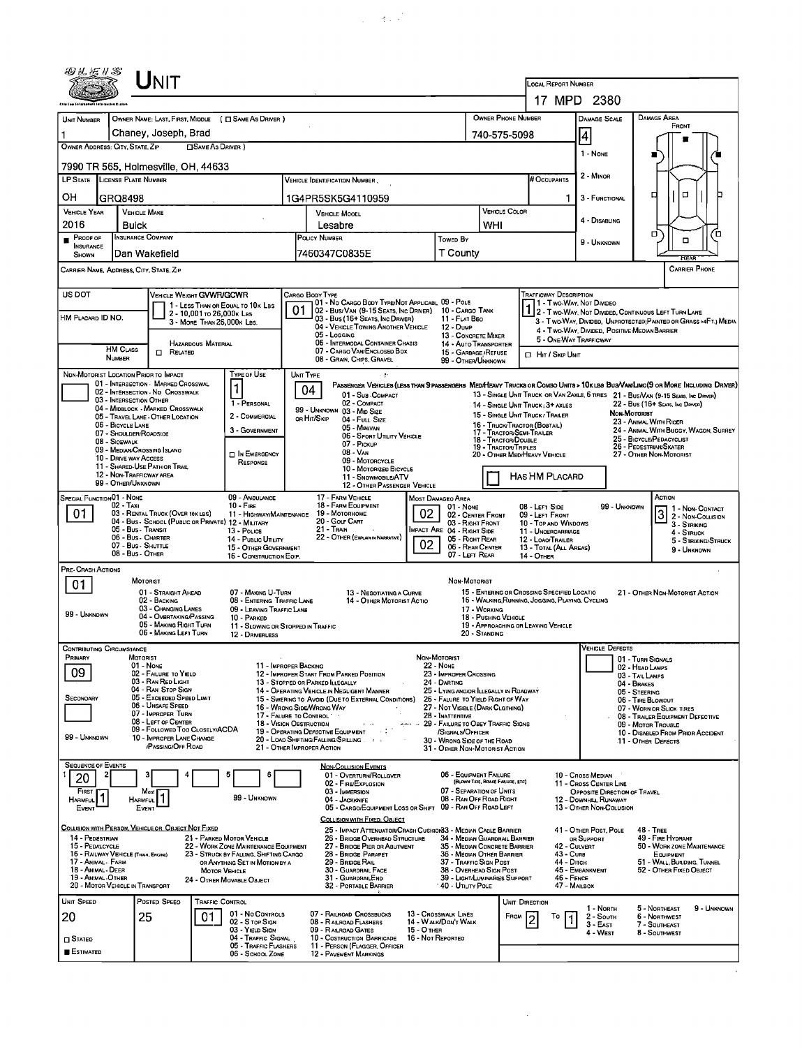| 494573                                                                                               |                                                                                                                                                                                                   | UNIT                                                                                                                                                                                                                                                 |                                                                                                                                                                                                    |                                |                                                                                                                                                                                                                                                                                            |                                                                                         |                                                                                                                                                 |                                                                                                                   | LOCAL REPORT NUMBER                                                                                                                                    | 17 MPD 2380                                                                                                                      |                                                                                                                                                                                                                                                                                                                                                                                                            |
|------------------------------------------------------------------------------------------------------|---------------------------------------------------------------------------------------------------------------------------------------------------------------------------------------------------|------------------------------------------------------------------------------------------------------------------------------------------------------------------------------------------------------------------------------------------------------|----------------------------------------------------------------------------------------------------------------------------------------------------------------------------------------------------|--------------------------------|--------------------------------------------------------------------------------------------------------------------------------------------------------------------------------------------------------------------------------------------------------------------------------------------|-----------------------------------------------------------------------------------------|-------------------------------------------------------------------------------------------------------------------------------------------------|-------------------------------------------------------------------------------------------------------------------|--------------------------------------------------------------------------------------------------------------------------------------------------------|----------------------------------------------------------------------------------------------------------------------------------|------------------------------------------------------------------------------------------------------------------------------------------------------------------------------------------------------------------------------------------------------------------------------------------------------------------------------------------------------------------------------------------------------------|
| <b>UNIT NUMBER</b>                                                                                   |                                                                                                                                                                                                   | OWNER NAME: LAST, FIRST, MIDDLE ( C SAME AS DRIVER )                                                                                                                                                                                                 |                                                                                                                                                                                                    |                                |                                                                                                                                                                                                                                                                                            |                                                                                         |                                                                                                                                                 | OWNER PHONE NUMBER                                                                                                |                                                                                                                                                        | DAMAGE SCALE                                                                                                                     | <b>DAMAGE AREA</b>                                                                                                                                                                                                                                                                                                                                                                                         |
|                                                                                                      |                                                                                                                                                                                                   | Chaney, Joseph, Brad                                                                                                                                                                                                                                 |                                                                                                                                                                                                    |                                |                                                                                                                                                                                                                                                                                            |                                                                                         |                                                                                                                                                 |                                                                                                                   |                                                                                                                                                        |                                                                                                                                  | FRONT                                                                                                                                                                                                                                                                                                                                                                                                      |
| 1<br>OWNER ADDRESS: CITY, STATE, ZIP                                                                 |                                                                                                                                                                                                   | <b>CISAME AS DRIVER</b> )                                                                                                                                                                                                                            |                                                                                                                                                                                                    |                                |                                                                                                                                                                                                                                                                                            |                                                                                         |                                                                                                                                                 | 740-575-5098                                                                                                      |                                                                                                                                                        | $\vert 4 \vert$<br>1 - NONE                                                                                                      |                                                                                                                                                                                                                                                                                                                                                                                                            |
| LP STATE LICENSE PLATE NUMBER                                                                        |                                                                                                                                                                                                   | 7990 TR 565, Holmesville, OH, 44633                                                                                                                                                                                                                  |                                                                                                                                                                                                    |                                | VEHICLE IDENTIFICATION NUMBER                                                                                                                                                                                                                                                              |                                                                                         |                                                                                                                                                 |                                                                                                                   | # OCCUPANTS                                                                                                                                            | 2 - MINOR                                                                                                                        |                                                                                                                                                                                                                                                                                                                                                                                                            |
| OН                                                                                                   | GRQ8498                                                                                                                                                                                           |                                                                                                                                                                                                                                                      |                                                                                                                                                                                                    |                                | 1G4PR5SK5G4110959                                                                                                                                                                                                                                                                          |                                                                                         |                                                                                                                                                 |                                                                                                                   |                                                                                                                                                        | 3 - FUNCTIONAL                                                                                                                   | O<br>◻                                                                                                                                                                                                                                                                                                                                                                                                     |
| <b>VEHICLE YEAR</b>                                                                                  | <b>VEHICLE MAKE</b>                                                                                                                                                                               |                                                                                                                                                                                                                                                      |                                                                                                                                                                                                    |                                | <b>VEHICLE MOOEL</b>                                                                                                                                                                                                                                                                       |                                                                                         |                                                                                                                                                 | VEHICLE COLOR                                                                                                     |                                                                                                                                                        |                                                                                                                                  |                                                                                                                                                                                                                                                                                                                                                                                                            |
| 2016                                                                                                 | Buick                                                                                                                                                                                             |                                                                                                                                                                                                                                                      |                                                                                                                                                                                                    |                                | Lesabre                                                                                                                                                                                                                                                                                    |                                                                                         |                                                                                                                                                 | WHI                                                                                                               |                                                                                                                                                        | 4 - Disabling                                                                                                                    | σ<br>Έ                                                                                                                                                                                                                                                                                                                                                                                                     |
| PROOF OF<br><b>INSURANCE</b><br><b>SHOWN</b>                                                         | <b>INSURANCE COMPANY</b><br>Dan Wakefield                                                                                                                                                         |                                                                                                                                                                                                                                                      |                                                                                                                                                                                                    |                                | <b>POLICY NUMBER</b><br>7460347C0835E                                                                                                                                                                                                                                                      | Towed By                                                                                | T County                                                                                                                                        |                                                                                                                   |                                                                                                                                                        | 9 - UNKNOWN                                                                                                                      | $\Box$<br>REAR                                                                                                                                                                                                                                                                                                                                                                                             |
| CARRIER NAME, ADDRESS, CITY, STATE, ZIP                                                              |                                                                                                                                                                                                   |                                                                                                                                                                                                                                                      |                                                                                                                                                                                                    |                                |                                                                                                                                                                                                                                                                                            |                                                                                         |                                                                                                                                                 |                                                                                                                   |                                                                                                                                                        |                                                                                                                                  | <b>CARRIER PHONE</b>                                                                                                                                                                                                                                                                                                                                                                                       |
| <b>US DOT</b><br>HM PLACARD ID NO.                                                                   | <b>HM CLASS</b>                                                                                                                                                                                   | VEHICLE WEIGHT GVWR/GCWR<br>1 - LESS THAN OR EQUAL TO 10K LBS<br>2 - 10,001 TO 26,000K LBS<br>3 - MORE THAN 26,000K LBS.<br><b>HAZARDOUS MATERIAL</b>                                                                                                |                                                                                                                                                                                                    | <b>CARGO BODY TYPE</b><br>01   | 01 - No CARGO BODY TYPE/NOT APPLICABL 09 - POLE<br>02 - Bus/Van (9-15 Seats, Inc Driver)<br>03 - Bus (16+ SEATS, INC DRIVER)<br>04 - VEHICLE TOWING ANOTHER VEHICLE<br>05 - Logging<br>06 - INTERMODAL CONTAINER CHASIS<br>07 - CARGO VAN/ENCLOSED BOX                                     |                                                                                         | 10 - CARGO TANK<br>11 - FLAT BEO<br>12 - Dump<br>13 - CONCRETE MIXER<br>14 - AUTO TRANSPORTER                                                   |                                                                                                                   | <b>TRAFFICWAY DESCRIPTION</b><br>11 - Two Way, Not Divideo<br>5 - ONE-WAY TRAFFICWAY                                                                   | 4 - Two-WAY, DIVIDED, POSITIVE MEOIAN BARRIER                                                                                    | 1 2 - T WO-WAY, NOT DIVIDED, CDNTINUOUS LEFT TURN LANE<br>3 - Two-Way, Divided. Unprotected (Painted or Grass >4FT.) Media                                                                                                                                                                                                                                                                                 |
|                                                                                                      | <b>NUMBER</b>                                                                                                                                                                                     | $\Box$ Related                                                                                                                                                                                                                                       |                                                                                                                                                                                                    |                                | 08 - GRAIN, CHIPS, GRAVEL                                                                                                                                                                                                                                                                  |                                                                                         | 15 - GARBAGE / REFUSE<br>99 - OTHER/UNKNOWN                                                                                                     |                                                                                                                   | <b>ID</b> HIT / SKIP UNIT                                                                                                                              |                                                                                                                                  |                                                                                                                                                                                                                                                                                                                                                                                                            |
| NDN-MOTORIST LOCATION PRIOR TO IMPACT                                                                | 03 - INTERSECTION OTHER<br>06 - BICYCLE LANE<br>07 - SHOULDER/ROADSIDE<br>08 - SIOEWALK<br>09 - MEDIAN/CROSSING ISLANO<br>10 - DRIVE WAY ACCESS<br>12 - NON-TRAFFICWAY AREA<br>99 - OTHER/UNKNOWN | 01 - INTERSECTION - MARKED CROSSWAL<br>02 - INTERSECTION - NO CROSSWALK<br>04 - MIDBLOCK - MARKED CROSSWALK<br>05 - TRAVEL LANE - OTHER LOCATION<br>11 - SHARED-USE PATH OR TRAIL                                                                    | TYPE OF USE<br>1<br>1 - PERSONAL<br>2 - COMMERCIAL<br>3 - GOVERNMENT<br><b>DI</b> N EMERGENCY<br>RESPONSE                                                                                          | UNIT TYPE<br>04<br>OR HIT/SKIP | 01 - Sua - COMPACT<br>02 - COMPACT<br>99 - UNKNOWN 03 - MID SIZE<br>04 - FULL SIZE<br>05 - Minivan<br>06 - SPORT UTILITY VEHICLE<br>07 - Pickup<br>08 - VAN<br>09 - MOTORCYCLE<br>10 - MOTORIZED BICYCLE<br>11 - SNOWMOBILE/ATV<br>12 - OTHER PASSENGER VEHICLE                            |                                                                                         |                                                                                                                                                 | 17 - TRACTOR/SEMI-TRAILER<br>18 - TRACTOR/DOUBLE<br><b>19 - TRACTOR/TRIPLES</b>                                   | 14 - SINGLE UNIT TRUCK: 3+ AXLES<br>15 - SINGLE UNIT TRUCK / TRAILER<br>16 - TRUCK/TRACTOR (BOBTAIL)<br>20 - OTHER MED/HEAVY VEHICLE<br>HAS HM PLACARD | Non-Motorist                                                                                                                     | PASSENGER VEHICLES (LESS THAN 9 PASSENGERS MEDIMEANY TRUCKS OR COMBO UNITS > 10KLBS BUS/VAN/LIMO(9 OR MORE INCLUDING DRIVER)<br>13 - SINGLE UNIT TRUCK OR VAN 2AXLE, 6 TIRES 21 - BUS/VAN (9-15 SEATS, INC DRIVER)<br>22 - Bus (16+ Seats, Inc Driver)<br>23 - ANIMAL WITH RIDER<br>24 - ANIMAL WITH BUGGY, WAGON, SURREY<br>25 - BICYCLE/PEDACYCLIST<br>26 - PEDESTRIAN/SKATER<br>27 - OTHER NON-MOTORIST |
| <b>SPECIAL FUNCTION 01 - NONE</b><br>01.                                                             | 02 - Taxi<br>05 - Bus - Transit<br>06 - Bus - Charter<br>07 - Bus - SHUTTLE<br>08 - Bus - OTHER                                                                                                   | 03 - RENTAL TRUCK (OVER 10K LBS)<br>04 - Bus - SCHOOL (PUBLIC OR PRIVATE) 12 - MILITARY                                                                                                                                                              | 09 - AMBULANCE<br>$10 -$ Fire<br>11 - HIGHWAY/MAINTENANCE<br>13 - Pouce<br>14 - Pusuc UTILITY<br>15 - OTHER GOVERNMENT<br>16 - CONSTRUCTION EOIP.                                                  |                                | 17 - FARM VEHICLE<br>18 - FARM EQUIPMENT<br>19 - Мотокноме<br>20 - Gour Cart<br>21 - Train<br>22 - OTHER (EXPLAIN IN NARRATIVE)                                                                                                                                                            | <b>MOST DAMAGEO AREA</b><br>02<br>MPACT ARE 04 - RIGHT SIDE<br>02                       | $01 - None$<br>02 - CENTER FRONT<br>03 - RIGHT FRONT<br>05 - RIOHT REAR<br>06 - REAR CENTER<br>07 - LEFT REAR                                   |                                                                                                                   | 08 - LEFT SIDE<br>09 - LEFT FRONT<br>10 - TOP AND WINDOWS<br>11 - UNOERCARRIAGE<br>12 - LOAO/TRAILER<br>13 - TOTAL (ALL AREAS)<br>14 - OTHER           | 99 - UNKNOWN                                                                                                                     | ACTION<br>1 - Non-Contact<br>3 2 - Non-Contact<br>3 - STRIKING<br>4 - STRUCK<br>5 - STRIKING/STRUCK<br>9 - Unknown                                                                                                                                                                                                                                                                                         |
| PRE- CRASH ACTIONS<br>01<br>99 - UNKNOWN                                                             | <b>MOTORIST</b>                                                                                                                                                                                   | 01 - STRAIGHT AHEAD<br>02 - BACKING<br>03 - CHANGING LANES<br>04 - OVERTAKING/PASSING<br>05 - MAKING RIGHT TURN<br>06 - MAKING LEFT TURN                                                                                                             | 07 - MAKING U-TURN<br>08 - ENTERING TRAFFIC LANE<br>09 - LEAVING TRAFFIC LANE<br>10 - PARKED<br>11 - SLOWING OR STOPPED IN TRAFFIC<br>12 - DRIVERLESS                                              |                                | 13 - NEGOTIATING A CURVE<br>14 - OTHER MOTORIST ACTIO                                                                                                                                                                                                                                      |                                                                                         | NON-MOTORIST<br>17 - WORKING<br>20 - STANDING                                                                                                   | 18 - PUSHING VEHICLE                                                                                              | 15 - ENTERING OR CROSSING SPECIFIED LOCATIO<br>16 - WALKING, RUNNING, JOGGING, PLAYING, CYCLING<br>19 - APPROACHING OR LEAVING VEHICLE                 |                                                                                                                                  | 21 - OTHER NON-MOTORIST ACTION                                                                                                                                                                                                                                                                                                                                                                             |
| <b>CONTRIBUTING CIRCUMSTANCE</b><br>Primary<br>09<br>SECONOARY<br>99 - UNKNOWN                       | MOTORIST<br>01 - None                                                                                                                                                                             | 02 - FAILURE TO YIELD<br>03 - RAN RED LIGHT<br>04 - RAN STOP SIGN<br>05 - Exceeped Speed Limit<br>06 - UNSAFE SPEED<br>07 - IMPROPER TURN<br>08 - LEFT OF CENTER<br>09 - FOLLOWED TOO CLOSELY/ACDA<br>10 - IMPROPER LANE CHANGE<br>/PASSING/OFF ROAD | 11 - IMPROPER BACKING<br>17 - FALURE TO CONTROL<br>18 - Vision Obstruction<br>21 - OTHER IMPROPER ACTION                                                                                           |                                | 12 - IMPROPER START FROM PARKED POSITION<br>13 - STOPPED OR PARKED ILLEGALLY<br>14 - OPERATING VEHICLE IN NEGLIGENT MANNER<br>15 - SWERING TO AVOID (DUE TO EXTERNAL CONDITIONS)<br>16 - Wrong Side/Wrong Way<br>19 - OPERATING DEFECTIVE EQUIPMENT<br>20 - LOAD SHIFTING/FALLING/SPILLING | Non-Motorist<br><b>22 - NONE</b><br>24 - DARTING<br>28 - INATTENTIVE                    | 23 - IMPROPER CROSSING<br>27 - NOT VISIBLE (DARK CLGTHING)<br>/SIGNALS/OFFICER<br>30 - WRONG SIDE OF THE ROAD<br>31 - OTHER NON-MOTORIST ACTION | 25 - LYING ANO/OR ILLEGALLY IN ROADWAY<br>26 - FALURE TO YIELD RIGHT OF WAY<br>29 - FAILURE TO OBEY TRAFFIC SIGNS |                                                                                                                                                        | <b>VEHICLE DEFECTS</b>                                                                                                           | 01 - TURN SIGNALS<br>02 - Head Lamps<br>03 - TAIL LAMPS<br>04 - BRAKES<br>05 - STEERING<br>06 - TIRE BLOWOUT<br>07 - WORN OR SLICK TIRES<br>08 - TRAILER EQUIPMENT DEFECTIVE<br>09 - MOTOR TROUBLE<br>10 - DISABLED FROM PRIOR ACCIDENT<br>11 - OTHER DEFECTS                                                                                                                                              |
| <b>SEQUENCE OF EVENTS</b><br>20<br>FIRST<br>HARMFUL<br>EVENT                                         | <b>HARMFUL</b><br>EVENT                                                                                                                                                                           | Most                                                                                                                                                                                                                                                 | 5<br>6<br>99 - Unknown                                                                                                                                                                             |                                | <b>NON-COLLISION EVENTS</b><br>01 - OVERTURN/ROLLGVER<br>02 - FIRE/EXPLOSION<br>03 - IMMERSION<br>04 - JACKKNIFE<br>05 - CARGO/EQUIPMENT LOSS OR SHIFT 09 - RAN OFF ROAD LEFT<br>COLLISION WITH FIXED, OBJECT                                                                              |                                                                                         | 06 - EQUIPMENT FAILURE<br>07 - SEPARATION OF UNITS<br>08 - RAN OFF ROAD RIGHT                                                                   | (BLOWN TIRE, BRAKE FAILURE, ETC)                                                                                  |                                                                                                                                                        | 10 - Cross Median<br>11 - Cross CENTER LINE<br>OPPOSITE DIRECTION OF TRAVEL<br>12 - DOWNHILL RUNAWAY<br>13 - OTHER NON-COLLISION |                                                                                                                                                                                                                                                                                                                                                                                                            |
| 14 - PEDESTRIAN<br>15 - PEDALCYCLE<br>17 - Animal - Farm<br>18 - Animal - Deer<br>19 - ANIMAL -OTHER | 16 - RAILWAY VEHICLE (TRAIN, ENGINE)<br>20 - MOTOR VEHICLE IN TRANSPORT                                                                                                                           | COLLISION WITH PERSON, VEHICLE OR OBJECT NOT FIXED                                                                                                                                                                                                   | 21 - PARKED MOTOR VEHICLE<br>22 - WORK ZONE MAINTENANCE EQUIPMENT<br>23 - STRUCK BY FALLING, SHIFTING CARGO<br>OR ANYTHING SET IN MOTION BY A<br><b>MOTOR VEHICLE</b><br>24 - OTHER MOVABLE OBJECT |                                | 25 - IMPACT ATTENUATOR/CRASH CUSHION33 - MEDIAN CABLE BARRIER<br>26 - BRIDGE OVERHEAD STRUCTURE<br>27 - BRIDGE PIER OR ABUTMENT<br>28 - BRIDGE PARAPET<br>29 - BRIDGE RAIL<br>30 - GUARDRAIL FACE<br>31 - GUARDRAILEND<br>32 - PORTABLE BARRIER                                            |                                                                                         | 36 - MEOIAN OTHER BARRIER<br>37 - TRAFFIC SIGN POST<br>38 - OVERHEAD SIGN POST<br>40 - UTILITY POLE                                             | 34 - MEDIAN GUARDRAIL BARRIER<br>35 - MEOIAN CONCRETE BARRIER<br>39 - LIGHT/LUMINARIES SUPPORT                    | 42 - CULVERT<br>$43 - C$ ura<br>44 - Олсн<br>$46 -$ FENCE<br>47 - MAILBOX                                                                              | 41 - OTHER POST, POLE<br>OR SUPPORT<br>45 EMBANKMENT                                                                             | <b>48 - TREE</b><br>49 - FIRE HYDRANT<br>50 - WORK ZONE MAINTENANCE<br>EQUIPMENT<br>51 - WALL, BUILDING, TUNNEL<br>52 - OTHER FIXED OBJECT                                                                                                                                                                                                                                                                 |
| UNIT SPEED<br>20<br>$\square$ Stateo<br><b>ESTIMATED</b>                                             | 25                                                                                                                                                                                                | POSTED SPEED<br>TRAFFIC CONTROL<br>01                                                                                                                                                                                                                | 01 - No CONTROLS<br>02 - S TOP SIGN<br>03 - YIELD SIGN<br>04 - Traffic Signal<br>05 - TRAFFIC FLASHERS<br>06 - SCHOOL ZONE                                                                         |                                | 07 - RAILROAD CROSSBUCKS<br>08 - RAILROAD FLASHERS<br>09 - RAILROAD GATES<br>10 - COSTRUCTION BARRICADE<br>11 - PERSON (FLAGGER, OFFICER<br>12 - PAVEMENT MARKINGS                                                                                                                         | 13 - Crosswalk LINES<br>14 - Walk/Don't Walk<br><b>15 - O THER</b><br>16 - Not REPORTEO |                                                                                                                                                 | UNIT DIRECTION<br>FROM                                                                                            | To                                                                                                                                                     | 1 - North<br>2 - South<br>$3 - E$ AST<br>4 - West                                                                                | 9 - UNKNOWN<br>5 - Northeast<br>6 - Northwest<br>7 - SOUTHEAST<br>8 - Southwest                                                                                                                                                                                                                                                                                                                            |

 $\mathcal{L}^{\mathcal{L}}(\mathcal{L}^{\mathcal{L}})$  and  $\mathcal{L}^{\mathcal{L}}(\mathcal{L}^{\mathcal{L}})$  .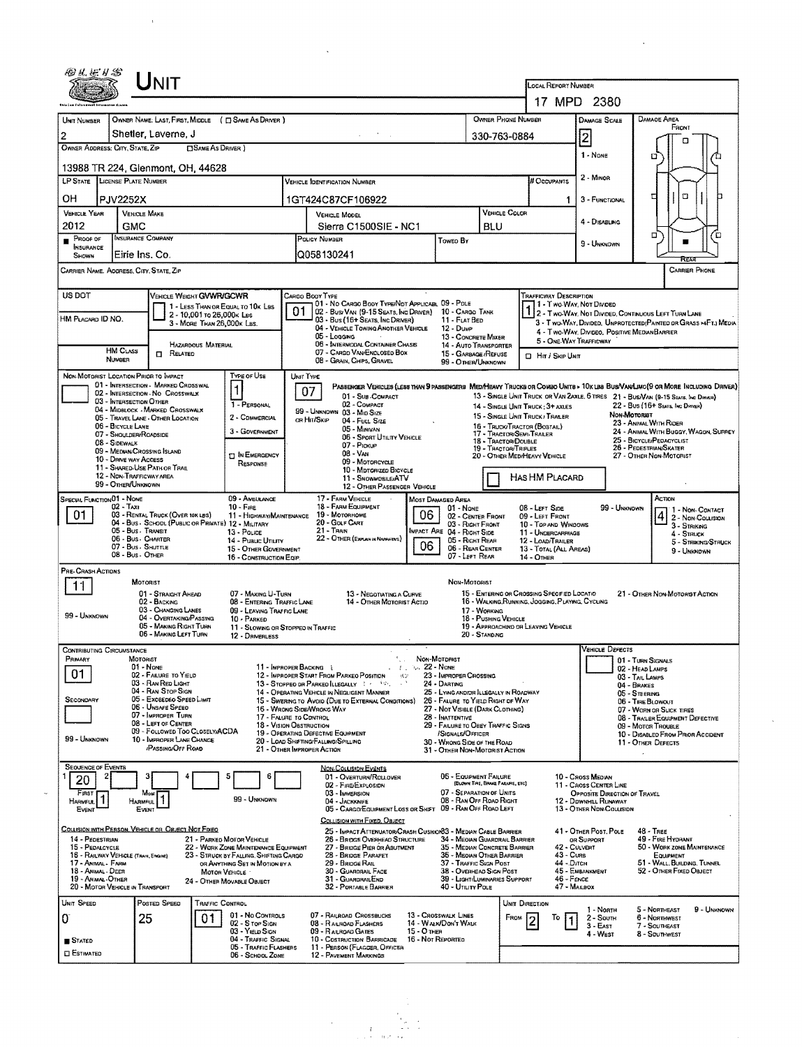|                                                                       | UNIT                                                                                    |                                                                |                                                                                |                 |                                                                                                                              |                                  |                                                                            |                                  |                                                                             |                                                                      |                                                                                   |                                      |                                                                                                                        |             |  |
|-----------------------------------------------------------------------|-----------------------------------------------------------------------------------------|----------------------------------------------------------------|--------------------------------------------------------------------------------|-----------------|------------------------------------------------------------------------------------------------------------------------------|----------------------------------|----------------------------------------------------------------------------|----------------------------------|-----------------------------------------------------------------------------|----------------------------------------------------------------------|-----------------------------------------------------------------------------------|--------------------------------------|------------------------------------------------------------------------------------------------------------------------|-------------|--|
|                                                                       |                                                                                         |                                                                |                                                                                |                 |                                                                                                                              |                                  |                                                                            |                                  |                                                                             | LOCAL REPORT NUMBER                                                  |                                                                                   |                                      |                                                                                                                        |             |  |
|                                                                       |                                                                                         |                                                                |                                                                                |                 |                                                                                                                              |                                  |                                                                            |                                  |                                                                             |                                                                      | 17 MPD 2380                                                                       |                                      |                                                                                                                        |             |  |
| UNIT NUMBER<br>$\overline{c}$                                         | OWNER NAME: LAST, FIRST, MIDDLE ( C) SAME AS DRIVER )<br>Shetler, Laverne, J            |                                                                |                                                                                |                 |                                                                                                                              |                                  |                                                                            |                                  | OWNER PHONE NUMBER                                                          |                                                                      | <b>DAMAGE SCALE</b>                                                               |                                      | Damage Area<br>FRONT                                                                                                   |             |  |
| OWNER ADDRESS: CITY, STATE, ZIP                                       |                                                                                         | <b>CISAME AS DRIVER</b> )                                      |                                                                                |                 |                                                                                                                              |                                  |                                                                            |                                  | 330-763-0884                                                                |                                                                      | 2                                                                                 |                                      |                                                                                                                        |             |  |
| 13988 TR 224, Glenmont, OH, 44628                                     |                                                                                         |                                                                |                                                                                |                 |                                                                                                                              |                                  |                                                                            |                                  |                                                                             |                                                                      | 1 - NONE                                                                          |                                      | o                                                                                                                      |             |  |
| LP STATE LICENSE PLATE NUMBER                                         |                                                                                         |                                                                |                                                                                |                 | <b>VEHICLE IDENTIFICATION NUMBER</b>                                                                                         |                                  |                                                                            |                                  |                                                                             | # Occupants                                                          | 2 - MINOR                                                                         |                                      |                                                                                                                        |             |  |
| OН<br>PJV2252X                                                        |                                                                                         |                                                                |                                                                                |                 | 1GT424C87CF106922                                                                                                            |                                  |                                                                            |                                  |                                                                             | 1.                                                                   | 3 - FUNCTIONAL                                                                    |                                      | o<br>□                                                                                                                 |             |  |
| VEHICLE YEAR                                                          | <b>VEHICLE MAKE</b>                                                                     |                                                                |                                                                                |                 | <b>VEHICLE MODEL</b>                                                                                                         |                                  |                                                                            |                                  | <b>VEHICLE COLOR</b>                                                        |                                                                      | 4 - DISABLING                                                                     |                                      |                                                                                                                        |             |  |
| 2012<br>Proof of                                                      | GMC<br>INSURANCE COMPANY                                                                |                                                                |                                                                                |                 | Sierra C1500SIE - NC1<br>Policy Number                                                                                       |                                  | Toweo By                                                                   | <b>BLU</b>                       |                                                                             |                                                                      |                                                                                   |                                      | о                                                                                                                      |             |  |
| <b>INSURANCE</b><br>SHOWN                                             | Eirie Ins. Co.                                                                          |                                                                |                                                                                |                 | Q058130241                                                                                                                   |                                  |                                                                            |                                  |                                                                             |                                                                      | 9 - Unknown                                                                       |                                      | RFA                                                                                                                    |             |  |
| CARRIER NAME, AOORESS, CITY, STATE, ZIP                               |                                                                                         |                                                                |                                                                                |                 |                                                                                                                              |                                  |                                                                            |                                  |                                                                             |                                                                      |                                                                                   |                                      | <b>CARRIER PHONE</b>                                                                                                   |             |  |
| US DOT                                                                |                                                                                         | <b>VEHICLE WEIGHT GVWR/GCWR</b>                                |                                                                                | CARGO BOOY TYPE |                                                                                                                              |                                  |                                                                            |                                  |                                                                             | <b>TRAFFICWAY DESCRIPTION</b>                                        |                                                                                   |                                      |                                                                                                                        |             |  |
|                                                                       |                                                                                         | 1 - LESS THAN OR EQUAL TO 10K LBS<br>2 - 10,001 то 26,000к LBS |                                                                                | 01              | 01 - No CARGO BODY TYPE/NOT APPLICABL 09 - POLE<br>02 - Busy Van (9-15 Seats, Ing Driver)                                    |                                  | 10 - CARGO TANK                                                            |                                  |                                                                             |                                                                      | 1 1 - Two Way, Not Divided                                                        |                                      | 1 2 - Two-Way, Not Divided, Continuous Left Turn Lane                                                                  |             |  |
| HM PLACARD ID NO.                                                     |                                                                                         | 3 - MORE THAN 26,000K LBS.                                     |                                                                                |                 | 03 - Bus (16+ Seats, Inc Driver)<br>04 - VEHICLE TOWING ANOTHER VEHICLE                                                      |                                  | 11 - FLAT BED<br>$12 - D$ UMP                                              |                                  |                                                                             |                                                                      | 4 - Two-Way, Divideo, Positive Median Barrier                                     |                                      | 3 - Two-WAY, Divided. UNPROTECTED (PAINTED OR GRASS >4FT.) MEDIA                                                       |             |  |
| HAZARDOUS MATERIAL<br><b>HM CLASS</b>                                 |                                                                                         |                                                                |                                                                                |                 | 05 - Logging<br>06 - INTERMODAL CONTAINER CHASIS                                                                             |                                  | 13 - CONCRETE MIXER<br>14 - AUTO TRANSPORTER                               |                                  |                                                                             | 5 - ONE-WAY TRAFFICWAY                                               |                                                                                   |                                      |                                                                                                                        |             |  |
| <b>NUMBER</b>                                                         | <b>EL RELATED</b>                                                                       |                                                                |                                                                                |                 | 07 - CARGO VAN/ENCLOSED BOX<br>08 - GRAIN, CHIPS, GRAVEL                                                                     |                                  | 15 - GARBAGE /REFUSE<br>99 - OTHER/UNKNOWN                                 |                                  |                                                                             | <b>D</b> Hr / Skip UNT                                               |                                                                                   |                                      |                                                                                                                        |             |  |
| NON-MOTORIST LOCATION PRIOR TO IMPACT                                 | 01 INTERSECTION MARKED CROSSWAL                                                         |                                                                | TYPE OF USE                                                                    | UNIT TYPE       | PASSENGER VEHICLES (LESS THAN 9 PASSENGERS MEDIMEANY TRUCKS OR COMBO UNITS > 10x LBB BUS/VANLIMO(9 OR MORE INCLUDING DRIVER) |                                  |                                                                            |                                  |                                                                             |                                                                      |                                                                                   |                                      |                                                                                                                        |             |  |
|                                                                       | 02 - INTERSECTION - NO CROSSWALK<br>03 - INTERSECTION OTHER                             |                                                                | 1 - PERSONAL                                                                   | 07              | 01 - SUB-COMPACT<br>02 - COMPACT                                                                                             |                                  |                                                                            |                                  |                                                                             |                                                                      |                                                                                   |                                      | 13 - SINGLE UNIT TRUCK OR VAN ZAXLE, 6 TIRES 21 - BUS/VAN (9-15 SEATE, INC DRIVER)<br>22 - BUS (16+ SEATS, INC DIRVER) |             |  |
|                                                                       | 04 - MIDBLOCK - MARKED CROSSWALK<br>05 - TRAVEL LANE - OTHER LOCATION                   |                                                                | 2 - COMMERCIAL                                                                 | OR HIT/SKIP     | 99 - UNKNOWN 03 - MID SIZE<br>04 - FULL SIZE                                                                                 |                                  |                                                                            |                                  |                                                                             | 14 - SINGLE UNIT TRUCK; 3+ AXLES<br>15 - SINGLE UNIT TRUCK / TRAILER |                                                                                   | NON-MOTORIST                         |                                                                                                                        |             |  |
| 06 - BICYCLE LANE                                                     | 07 - SHOULDER/ROADSIDE                                                                  |                                                                | 3 - GOVERNMENT                                                                 |                 | 05 - Miniyan<br>06 - SPORT UTILITY VEHICLE                                                                                   |                                  |                                                                            |                                  | 16 - TRUCK/TRACTOR (BOSTAIL)<br>17 - TRACTOR/SEMI-TRAILER                   |                                                                      |                                                                                   |                                      | 23 - ANIMAL WITH RIDER<br>24 - ANIMAL WITH BUGGY, WAGON, SURREY                                                        |             |  |
| 08 - SIDEWALK                                                         | 09 - MEDIAN/CROSSING SLAND                                                              |                                                                | <b>DIN EMERGENCY</b>                                                           |                 | 07 - PICKUP<br>08 - Van                                                                                                      |                                  |                                                                            |                                  | 18 - TRACTOR/DOUBLE<br>19 - TRACTOR/TRIPLES<br>20 - OTHER MEDIHEAVY VEHICLE |                                                                      |                                                                                   |                                      | 25 - BICYCLE/PEDACYCLIST<br>26 - PEDESTRIAN/SKATER<br>27 - OTHER NON-MOTORIST                                          |             |  |
|                                                                       | 10 - DRIVE WAY ACCESS<br>11 - SHARED-USE PATH OR TRAIL                                  |                                                                | RESPONSE                                                                       |                 | 09 - MOTORCYCLE<br>10 - Moronized Bicycle                                                                                    |                                  |                                                                            |                                  |                                                                             |                                                                      |                                                                                   |                                      |                                                                                                                        |             |  |
| 99 - OTHER/UNKNOWN                                                    | 12 - NON-TRAFFICWAY AREA                                                                |                                                                |                                                                                |                 | 11 - SNOWMOBILE/ATV<br>12 - OTHER PASSENGER VEHICLE                                                                          |                                  |                                                                            |                                  |                                                                             | <b>HAS HM PLACARD</b>                                                |                                                                                   |                                      |                                                                                                                        |             |  |
| SPECIAL FUNCTION 01 - NONE<br>$02 - TaxI$                             |                                                                                         |                                                                | 09 - AMBULANCE<br>$10 - F_{\text{FHE}}$                                        |                 | 17 - FARM VEHICLE<br>18 - FARM EQUIPMENT                                                                                     |                                  | <b>MOST DAMAGED AREA</b><br>01 - NONE                                      |                                  |                                                                             | 08 - LEFT SIDE                                                       | 99 - Unknown                                                                      |                                      | ACTION<br>1 1 - Non- Contact                                                                                           |             |  |
| 01                                                                    | 03 - RENTAL TRUCK (OVER 10K LBS)<br>04 - Bus - SCHODL (PUBLIC OR PRIVATE) 12 - MILITARY |                                                                | 11 - HIGHWAY/MAINTENANCE                                                       |                 | 19 - Мотовноме<br>20 - GOLF CART                                                                                             | 06                               | 02 - CENTER FRONT<br>03 - RIGHT FRONT                                      |                                  |                                                                             | 09 - LEFT FRONT<br>10 - TOP AND WINDOWS                              |                                                                                   |                                      | 2 - Non-Collision<br>3 - STRIKING                                                                                      |             |  |
|                                                                       | 05 - Bus - Transit<br>06 - Bus - Charter                                                |                                                                | 13 - Pouce<br>14 - Puauc Ununy                                                 |                 | 21 - Train<br>22 - OTHER (EXPLAN IN NARRAIDYE)                                                                               |                                  | IMPACT ARE 04 - RIGHT SIDE<br>05 - RIGHT REAR                              |                                  |                                                                             | 11 - UNDERCARRIAGE<br>12 - LOAD/TRAILER                              |                                                                                   |                                      | 4 - Struck<br>5 - STRIKING/STRUCK                                                                                      |             |  |
|                                                                       | 07 - Bus - Shuttle<br>08 - Bus - Other                                                  |                                                                | 15 - OTHER GOVERNMENT<br>16 - CONSTRUCTION EQIP                                |                 |                                                                                                                              | 06                               | 06 - REAR CENTER<br>07 - LEFT REAR                                         |                                  |                                                                             | 13 - TOTAL (ALL AREAS)<br>14 - OTHER                                 |                                                                                   |                                      | 9 - UNKNOWN                                                                                                            |             |  |
| PRE-CRASH ACTIONS                                                     |                                                                                         |                                                                |                                                                                |                 |                                                                                                                              |                                  |                                                                            |                                  |                                                                             |                                                                      |                                                                                   |                                      |                                                                                                                        |             |  |
| 11                                                                    | MOTORIST<br>01 - STRAIGHT AHEAD                                                         |                                                                | 07 - MAKING U-TURN                                                             |                 | 13 - Negotiating a Curve                                                                                                     |                                  | NON-MOTORIST                                                               |                                  |                                                                             | 15 - ENTERING OR CROSSING SPECIFIED LOCATIO                          |                                                                                   |                                      | 21 - OTHER NON-MOTORIST ACTION                                                                                         |             |  |
| 99 - UNKNOWN                                                          | 02 - BACKING<br>03 - CHANGING LANES                                                     |                                                                | 08 - ENTERING TRAFFIC LANE<br>09 - LEAVING TRAFFIC LANE                        |                 | 14 - OTHER MOTORIST ACTIO                                                                                                    |                                  |                                                                            | 17 - WORKING                     |                                                                             | 16 - WALKING, RUNNING, JOGGING, PLAYING, CYCLING                     |                                                                                   |                                      |                                                                                                                        |             |  |
|                                                                       | 04 - OVERTAKING/PASSING<br>05 - MAKING RIGHT TURN<br>06 - MAKING LEFT TURN              |                                                                | 10 - PARKED<br>11 - SLOWING OR STOPPEO IN TRAFFIC                              |                 |                                                                                                                              |                                  |                                                                            | 18 - PUSHING VEHICLE             |                                                                             | 19 - APPROACHIND OR LEAVING VEHICLE                                  |                                                                                   |                                      |                                                                                                                        |             |  |
| <b>CONTRIBUTING CIRCUMSTANCE</b>                                      |                                                                                         |                                                                | 12 - DRIVERLESS                                                                |                 |                                                                                                                              |                                  |                                                                            | 20 - STANDING                    |                                                                             |                                                                      | VEHICLE DEFECTS                                                                   |                                      |                                                                                                                        |             |  |
| PRIMARY                                                               | <b>MOTORIST</b><br>01 - NONE                                                            |                                                                | 11 - IMPROPER BACKING L                                                        |                 | $\mathcal{L}$                                                                                                                | 1. 22 - NONE                     | NON-MOTORIST                                                               |                                  |                                                                             |                                                                      |                                                                                   | 01 - TURN SIGNALS<br>02 - HEAD LAMPS |                                                                                                                        |             |  |
| 01                                                                    | 02 - FAILURE TO YELD<br>03 - RAN REO LIGHT                                              |                                                                |                                                                                |                 | 12 - IMPROPER START FROM PARKEO POSITION<br>$9.7\,$                                                                          |                                  | 23 - IMPROPER CROSSING<br>24 - DARTING                                     |                                  |                                                                             |                                                                      |                                                                                   | 03 - TAIL LAMPS<br>04 - BRAKES       |                                                                                                                        |             |  |
| SECONDARY                                                             | 04 - RAN STOP SIGN<br>05 - Exceepeo Speed Limit                                         |                                                                |                                                                                |                 | 14 - OPERATING VEHICLE IN NEGLIGENT MANNER<br>15 - Swering to Avoid (Due to External Conditions)                             |                                  | 25 - LYING AND/OR LLEGALLY IN ROADWAY<br>26 - FALURE TO YIELD RIGHT OF WAY |                                  |                                                                             |                                                                      |                                                                                   | 05 - STEERING<br>06 - TIRE BLOWOUT   |                                                                                                                        |             |  |
|                                                                       | 06 - Unsafe Speed<br>07 - IMPROPER TURN                                                 |                                                                | 16 - WRONG SIDE/WRONG WAY<br>17 - FALURE TO CONTROL                            |                 |                                                                                                                              |                                  | 27 - Not Visible (Dark Clothing)<br>28 - INATTENTIVE                       |                                  |                                                                             |                                                                      |                                                                                   |                                      | 07 - WORN OR SLICK TIRES<br>08 - TRALER EQUIPMENT DEFECTIVE                                                            |             |  |
|                                                                       | 08 - LEFT OF CENTER<br>09 - FOLLOWED TOO CLOSELY/ACDA                                   |                                                                | 18 - Vision Obstruction                                                        |                 | 19 - OPERATING DEFECTIVE EQUIPMENT                                                                                           |                                  | 29 - FAILURE TO OBEY TRAFFIC SIGNS<br>/SIGNALS/OFFICER                     |                                  |                                                                             |                                                                      |                                                                                   |                                      | 09 - MOTOR TROUBLE<br>10 - DISABLED FROM PRIOR ACCIDENT                                                                |             |  |
| 99 - UNKNOWN                                                          | 10 - IMPROPER LANE CHANGE<br><b>PASSING/OFF ROAD</b>                                    |                                                                | 21 - OTHER IMPROPER ACTION                                                     |                 | 20 - LOAD SHIFTING/FALLING/SPILLING                                                                                          |                                  | 30 - WRONG SIDE OF THE ROAD<br>31 - OTHER NON-MOTORIST ACTION              |                                  |                                                                             |                                                                      |                                                                                   |                                      | 11 - OTHER DEFECTS                                                                                                     |             |  |
| <b>SEQUENCE OF EVENTS</b>                                             |                                                                                         |                                                                |                                                                                |                 | <b>NON-COLLISION EVENTS</b>                                                                                                  |                                  |                                                                            |                                  |                                                                             |                                                                      |                                                                                   |                                      |                                                                                                                        |             |  |
| 2<br>20                                                               |                                                                                         | 5                                                              | 6                                                                              |                 | 01 - OVERTURN/ROLLOVER<br>02 - FIRE/EXPLOSION                                                                                |                                  | 06 - EQUIPMENT FAILURE                                                     | (BLOWN TIRE, BRAKE FAILURE, ETC) |                                                                             |                                                                      | 10 - Cross Median<br>11 - CAOSS CENTER LINE                                       |                                      |                                                                                                                        |             |  |
| FIRST<br><b>HARMFUL</b>                                               | Most<br>Harmful<br>EVENT                                                                |                                                                | 99 - UNKNOWN                                                                   |                 | 03 - IMMERSION<br>04 - JACKKNIFE<br>05 - CARGO/EQUIPMENT LOSS OR SHIFT 09 - RAN OFF ROAD LEFT                                |                                  | 07 - SEPARATION OF UNITS<br>08 - RAN OFF ROAD RIGHT                        |                                  |                                                                             |                                                                      | OPPOSITE DIRECTION OF TRAVEL<br>12 - DOWNHILL RUNAWAY<br>13 - OTHER NON-COLLISION |                                      |                                                                                                                        |             |  |
| Event                                                                 |                                                                                         |                                                                |                                                                                |                 | COLLISION WITH FIXED, OBJECT                                                                                                 |                                  |                                                                            |                                  |                                                                             |                                                                      |                                                                                   |                                      |                                                                                                                        |             |  |
| COLLISION WITH PERSON, VEHICLE OR OBJECT NOT FIXED<br>14 - PEDESTRIAN |                                                                                         | 21 - PARKED MOTOR VEHICLE                                      |                                                                                |                 | 25 - IMPACT ATTENUATOR/CRASH CUSHION83 - MEDIAN CABLE BARRIER<br>26 - BRIDGE OVERHEAD STRUCTURE                              |                                  | 34 - MEOIAN GUARDRAIL BARRIER                                              |                                  |                                                                             |                                                                      | 41 - OTHER POST, POLE<br>OR SUPPORT                                               |                                      | $48 - T$ REE<br>49 - FIRE HYDRANT                                                                                      |             |  |
| 15 - PEDALCYCLE<br>16 - RAILWAY VEHICLE (TRAIN, ENGINE)               |                                                                                         |                                                                | 22 - WORK ZONE MAINTENANCE EQUIPMENT<br>23 - STRUCK BY FALLING, SHIFTING CARGO |                 | 27 - BRIDGE PIER OR ABUTMENT<br>28 - BRIDGE PARAPET                                                                          |                                  | 35 - MEDIAN CONCRETE BARRIER<br>36 - Median Other Barrier                  |                                  |                                                                             | 42 - CULVERT<br>43 - CURB                                            |                                                                                   |                                      | 50 - WORK ZONE MAINTENANCE<br><b>EQUIPMENT</b>                                                                         |             |  |
| 17 - ANIMAL - FARM<br>18 - Animal Deer                                |                                                                                         | MOTOR VEHICLE                                                  | OR ANYTHING SET IN MOTION BY A                                                 |                 | 29 - BRIDGE RAIL<br>30 - GUARDRAIL FACE                                                                                      |                                  | 37 - TRAFFIC SIGN POST<br>38 - OVERHEAD SIGN POST                          |                                  |                                                                             | 44 - Олен                                                            | 45 - EMBANKMENT                                                                   |                                      | 51 - WALL BUILDING, TUNNEL<br>52 - OTHER FIXED OBJECT                                                                  |             |  |
| 19 - Animal <sub>•</sub> Other<br>20 - MOTOR VEHICLE IN TRANSPORT     |                                                                                         | 24 - OTHER MOVABLE OBJECT                                      |                                                                                |                 | 31 - GUARDRAILEND<br>32 - PORTABLE BARRIER                                                                                   |                                  | 39 - LIGHT/LUMINARIES SUPPORT<br>40 - UTILITY POLE                         |                                  |                                                                             | $46 -$ FENCE<br>47 - MAILBOX                                         |                                                                                   |                                      |                                                                                                                        |             |  |
| UNIT SPEED                                                            | POSTED SPEED                                                                            | TRAFFIC CONTROL                                                |                                                                                |                 |                                                                                                                              |                                  |                                                                            |                                  | UNIT DIRECTION                                                              |                                                                      | 1 - North                                                                         |                                      | 5 - NORTHEAST                                                                                                          | 9 - Unknown |  |
| 0                                                                     | 25                                                                                      | 01                                                             | 01 - No CONTROLS<br>02 - S TOP SIGN                                            |                 | 07 - RAILROAD CROSSBUCKS<br>08 - RAILROAD FLASHERS                                                                           |                                  | 13 - CROSSWALK LINES<br>14 - WALK/DON'T WALK                               |                                  | FROM                                                                        | То                                                                   | 2 - South<br>$3 - EAST$                                                           |                                      | 6 - Northwest<br>7 - SOUTHEAST                                                                                         |             |  |
| <b>STATED</b>                                                         |                                                                                         |                                                                | 03 - YIELD SIGN<br>04 - TRAFFIC SIGNAL<br>05 - TRAFFIC FLASHERS                |                 | 09 - RAILROAD GATES<br>10 - COSTRUCTION BARRICADE<br>11 - PERSON (FLAGGER, OFFICER                                           | 15 - О тнен<br>16 - Not Reported |                                                                            |                                  |                                                                             |                                                                      | 4 - West                                                                          |                                      | 8 - SOUTHWEST                                                                                                          |             |  |
| <b>C</b> ESTIMATED                                                    |                                                                                         |                                                                | 06 - SCHOOL ZONE                                                               |                 | 12 - PAVEMENT MARKINGS                                                                                                       |                                  |                                                                            |                                  |                                                                             |                                                                      |                                                                                   |                                      |                                                                                                                        |             |  |

 $\bar{\mathcal{A}}$ 

 $\bar{\mathbf{r}}$